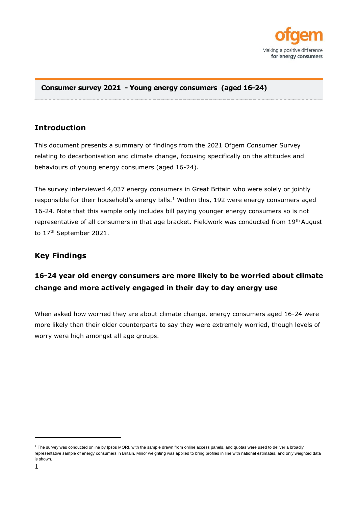

### **Consumer survey 2021 - Young energy consumers (aged 16-24)**

# **Introduction**

This document presents a summary of findings from the 2021 Ofgem Consumer Survey relating to decarbonisation and climate change, focusing specifically on the attitudes and behaviours of young energy consumers (aged 16-24).

The survey interviewed 4,037 energy consumers in Great Britain who were solely or jointly responsible for their household's energy bills. $1$  Within this, 192 were energy consumers aged 16-24. Note that this sample only includes bill paying younger energy consumers so is not representative of all consumers in that age bracket. Fieldwork was conducted from 19<sup>th</sup> August to 17<sup>th</sup> September 2021.

# **Key Findings**

# **16-24 year old energy consumers are more likely to be worried about climate change and more actively engaged in their day to day energy use**

When asked how worried they are about climate change, energy consumers aged 16-24 were more likely than their older counterparts to say they were extremely worried, though levels of worry were high amongst all age groups.

 $1$  The survey was conducted online by Ipsos MORI, with the sample drawn from online access panels, and quotas were used to deliver a broadly representative sample of energy consumers in Britain. Minor weighting was applied to bring profiles in line with national estimates, and only weighted data is shown.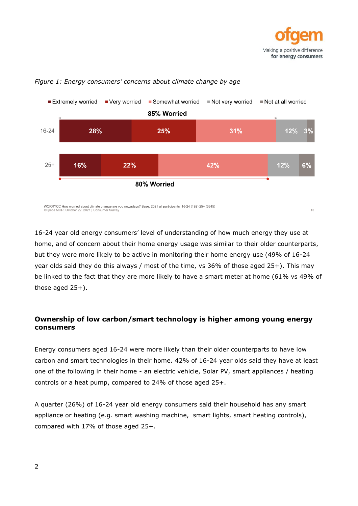



#### *Figure 1: Energy consumers' concerns about climate change by age*

16-24 year old energy consumers' level of understanding of how much energy they use at home, and of concern about their home energy usage was similar to their older counterparts, but they were more likely to be active in monitoring their home energy use (49% of 16-24 year olds said they do this always / most of the time, vs 36% of those aged 25+). This may be linked to the fact that they are more likely to have a smart meter at home (61% vs 49% of

those aged  $25+$ ).

## **Ownership of low carbon/smart technology is higher among young energy consumers**

Energy consumers aged 16-24 were more likely than their older counterparts to have low carbon and smart technologies in their home. 42% of 16-24 year olds said they have at least one of the following in their home - an electric vehicle, Solar PV, smart appliances / heating controls or a heat pump, compared to 24% of those aged 25+.

A quarter (26%) of 16-24 year old energy consumers said their household has any smart appliance or heating (e.g. smart washing machine, smart lights, smart heating controls), compared with 17% of those aged 25+.